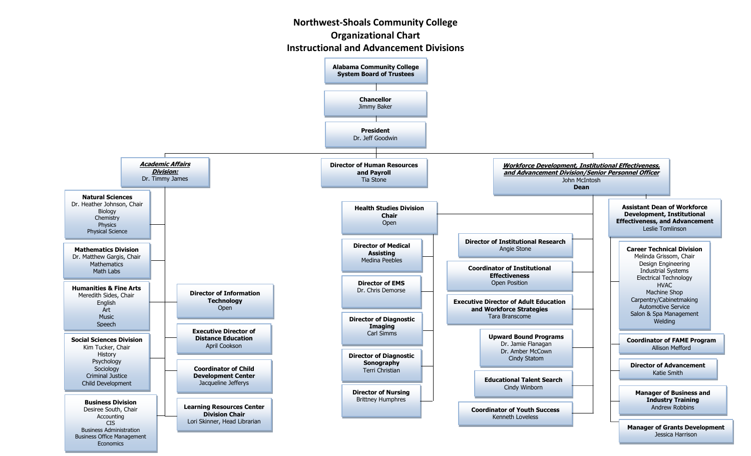## **Northwest-Shoals Community College Organizational Chart**

## **Instructional and Advancement Divisions**